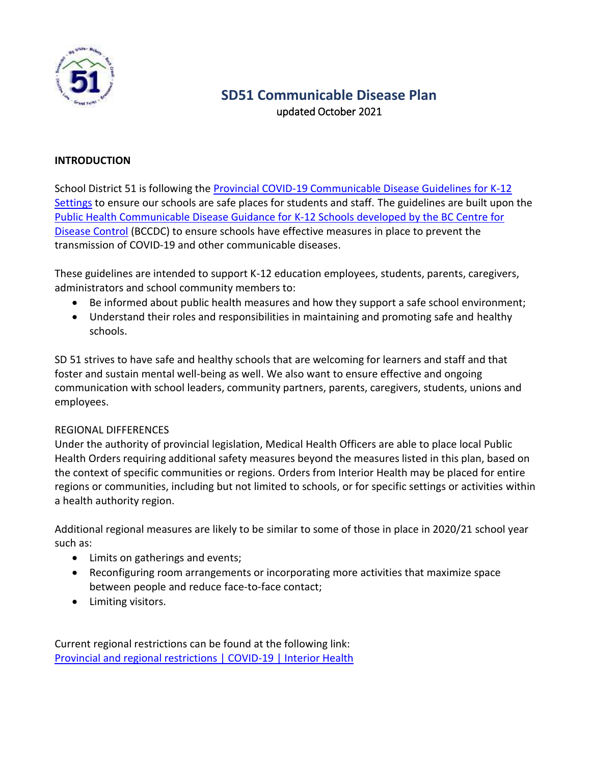

# **SD51 Communicable Disease Plan** updated October 2021

#### **INTRODUCTION**

School District 51 is following the [Provincial COVID-19 Communicable Disease Guidelines for K-12](https://www2.gov.bc.ca/assets/gov/education/administration/kindergarten-to-grade-12/safe-caring-orderly/k-12-covid-19-health-safety-guidlines.pdf)  [Settings](https://www2.gov.bc.ca/assets/gov/education/administration/kindergarten-to-grade-12/safe-caring-orderly/k-12-covid-19-health-safety-guidlines.pdf) to ensure our schools are safe places for students and staff. The guidelines are built upon the [Public Health Communicable Disease Guidance for K-12 Schools developed by the BC Centre for](http://www.bccdc.ca/Health-Info-Site/Documents/COVID_public_guidance/Guidance-k-12-schools.pdf)  [Disease Control](http://www.bccdc.ca/Health-Info-Site/Documents/COVID_public_guidance/Guidance-k-12-schools.pdf) (BCCDC) to ensure schools have effective measures in place to prevent the transmission of COVID-19 and other communicable diseases.

These guidelines are intended to support K-12 education employees, students, parents, caregivers, administrators and school community members to:

- Be informed about public health measures and how they support a safe school environment;
- Understand their roles and responsibilities in maintaining and promoting safe and healthy schools.

SD 51 strives to have safe and healthy schools that are welcoming for learners and staff and that foster and sustain mental well-being as well. We also want to ensure effective and ongoing communication with school leaders, community partners, parents, caregivers, students, unions and employees.

#### REGIONAL DIFFERENCES

Under the authority of provincial legislation, Medical Health Officers are able to place local Public Health Orders requiring additional safety measures beyond the measures listed in this plan, based on the context of specific communities or regions. Orders from Interior Health may be placed for entire regions or communities, including but not limited to schools, or for specific settings or activities within a health authority region.

Additional regional measures are likely to be similar to some of those in place in 2020/21 school year such as:

- Limits on gatherings and events;
- Reconfiguring room arrangements or incorporating more activities that maximize space between people and reduce face-to-face contact;
- Limiting visitors.

Current regional restrictions can be found at the following link: [Provincial and regional restrictions | COVID-19 | Interior Health](https://news.interiorhealth.ca/news/provincial-and-regional-restrictions/)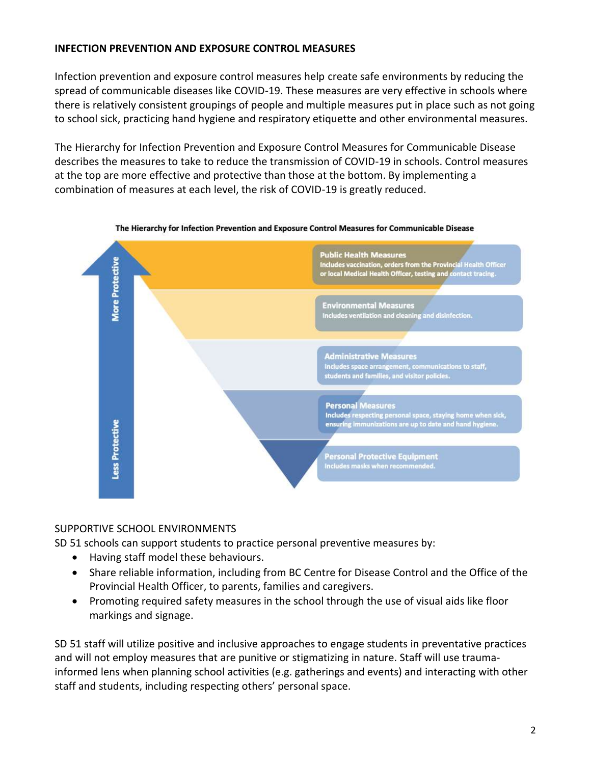#### **INFECTION PREVENTION AND EXPOSURE CONTROL MEASURES**

Infection prevention and exposure control measures help create safe environments by reducing the spread of communicable diseases like COVID-19. These measures are very effective in schools where there is relatively consistent groupings of people and multiple measures put in place such as not going to school sick, practicing hand hygiene and respiratory etiquette and other environmental measures.

The Hierarchy for Infection Prevention and Exposure Control Measures for Communicable Disease describes the measures to take to reduce the transmission of COVID-19 in schools. Control measures at the top are more effective and protective than those at the bottom. By implementing a combination of measures at each level, the risk of COVID-19 is greatly reduced.





#### SUPPORTIVE SCHOOL ENVIRONMENTS

SD 51 schools can support students to practice personal preventive measures by:

- Having staff model these behaviours.
- Share reliable information, including from BC Centre for Disease Control and the Office of the Provincial Health Officer, to parents, families and caregivers.
- Promoting required safety measures in the school through the use of visual aids like floor markings and signage.

SD 51 staff will utilize positive and inclusive approaches to engage students in preventative practices and will not employ measures that are punitive or stigmatizing in nature. Staff will use traumainformed lens when planning school activities (e.g. gatherings and events) and interacting with other staff and students, including respecting others' personal space.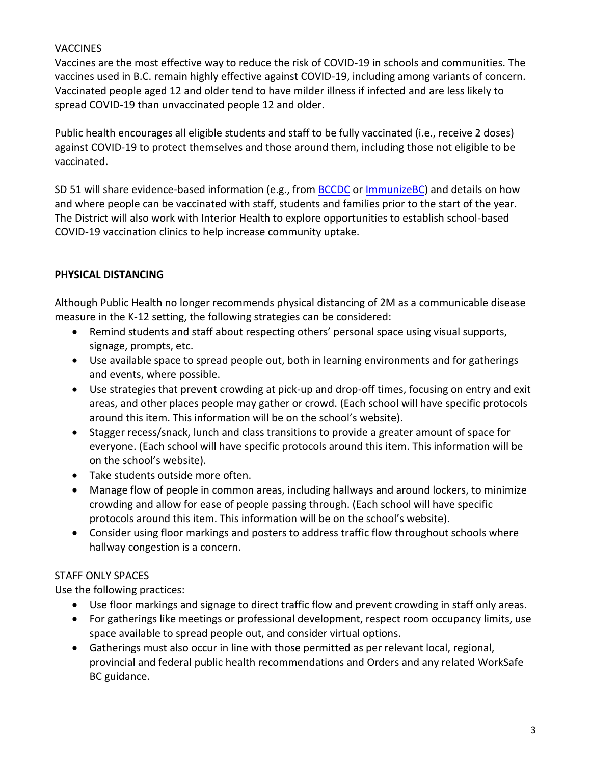# **VACCINES**

Vaccines are the most effective way to reduce the risk of COVID-19 in schools and communities. The vaccines used in B.C. remain highly effective against COVID-19, including among variants of concern. Vaccinated people aged 12 and older tend to have milder illness if infected and are less likely to spread COVID-19 than unvaccinated people 12 and older.

Public health encourages all eligible students and staff to be fully vaccinated (i.e., receive 2 doses) against COVID-19 to protect themselves and those around them, including those not eligible to be vaccinated.

SD 51 will share evidence-based information (e.g., from [BCCDC](http://www.bccdc.ca/Health-Info-Site/Documents/COVID_public_guidance/Guidance-k-12-schools.pdf) o[r ImmunizeBC\)](https://immunizebc.ca/covid-19) and details on how and where people can be vaccinated with staff, students and families prior to the start of the year. The District will also work with Interior Health to explore opportunities to establish school-based COVID-19 vaccination clinics to help increase community uptake.

# **PHYSICAL DISTANCING**

Although Public Health no longer recommends physical distancing of 2M as a communicable disease measure in the K-12 setting, the following strategies can be considered:

- Remind students and staff about respecting others' personal space using visual supports, signage, prompts, etc.
- Use available space to spread people out, both in learning environments and for gatherings and events, where possible.
- Use strategies that prevent crowding at pick-up and drop-off times, focusing on entry and exit areas, and other places people may gather or crowd. (Each school will have specific protocols around this item. This information will be on the school's website).
- Stagger recess/snack, lunch and class transitions to provide a greater amount of space for everyone. (Each school will have specific protocols around this item. This information will be on the school's website).
- Take students outside more often.
- Manage flow of people in common areas, including hallways and around lockers, to minimize crowding and allow for ease of people passing through. (Each school will have specific protocols around this item. This information will be on the school's website).
- Consider using floor markings and posters to address traffic flow throughout schools where hallway congestion is a concern.

# STAFF ONLY SPACES

Use the following practices:

- Use floor markings and signage to direct traffic flow and prevent crowding in staff only areas.
- For gatherings like meetings or professional development, respect room occupancy limits, use space available to spread people out, and consider virtual options.
- Gatherings must also occur in line with those permitted as per relevant local, regional, provincial and federal public health recommendations and Orders and any related WorkSafe BC guidance.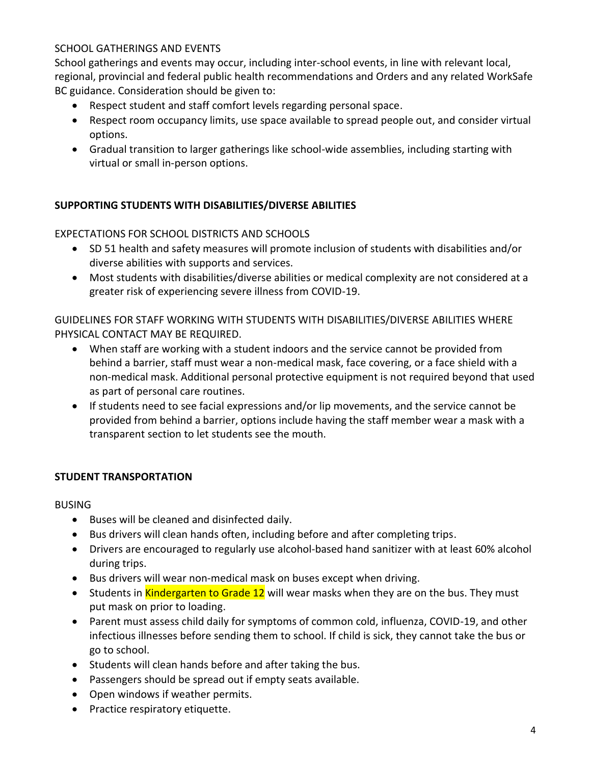#### SCHOOL GATHERINGS AND EVENTS

School gatherings and events may occur, including inter-school events, in line with relevant local, regional, provincial and federal public health recommendations and Orders and any related WorkSafe BC guidance. Consideration should be given to:

- Respect student and staff comfort levels regarding personal space.
- Respect room occupancy limits, use space available to spread people out, and consider virtual options.
- Gradual transition to larger gatherings like school-wide assemblies, including starting with virtual or small in-person options.

#### **SUPPORTING STUDENTS WITH DISABILITIES/DIVERSE ABILITIES**

#### EXPECTATIONS FOR SCHOOL DISTRICTS AND SCHOOLS

- SD 51 health and safety measures will promote inclusion of students with disabilities and/or diverse abilities with supports and services.
- Most students with disabilities/diverse abilities or medical complexity are not considered at a greater risk of experiencing severe illness from COVID-19.

GUIDELINES FOR STAFF WORKING WITH STUDENTS WITH DISABILITIES/DIVERSE ABILITIES WHERE PHYSICAL CONTACT MAY BE REQUIRED.

- When staff are working with a student indoors and the service cannot be provided from behind a barrier, staff must wear a non-medical mask, face covering, or a face shield with a non-medical mask. Additional personal protective equipment is not required beyond that used as part of personal care routines.
- If students need to see facial expressions and/or lip movements, and the service cannot be provided from behind a barrier, options include having the staff member wear a mask with a transparent section to let students see the mouth.

#### **STUDENT TRANSPORTATION**

BUSING

- Buses will be cleaned and disinfected daily.
- Bus drivers will clean hands often, including before and after completing trips.
- Drivers are encouraged to regularly use alcohol-based hand sanitizer with at least 60% alcohol during trips.
- Bus drivers will wear non-medical mask on buses except when driving.
- Students in Kindergarten to Grade 12 will wear masks when they are on the bus. They must put mask on prior to loading.
- Parent must assess child daily for symptoms of common cold, influenza, COVID-19, and other infectious illnesses before sending them to school. If child is sick, they cannot take the bus or go to school.
- Students will clean hands before and after taking the bus.
- Passengers should be spread out if empty seats available.
- Open windows if weather permits.
- Practice respiratory etiquette.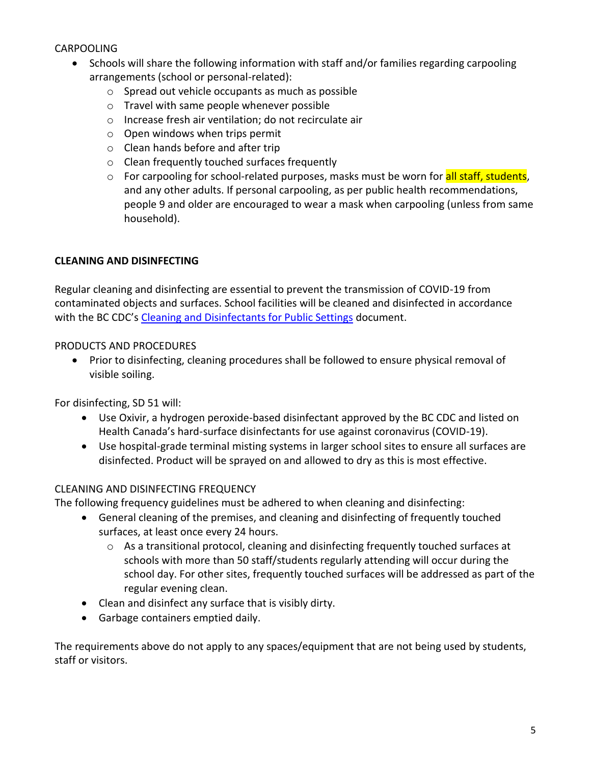# CARPOOLING

- Schools will share the following information with staff and/or families regarding carpooling arrangements (school or personal-related):
	- o Spread out vehicle occupants as much as possible
	- o Travel with same people whenever possible
	- o Increase fresh air ventilation; do not recirculate air
	- $\circ$  Open windows when trips permit
	- o Clean hands before and after trip
	- o Clean frequently touched surfaces frequently
	- $\circ$  For carpooling for school-related purposes, masks must be worn for all staff, students, and any other adults. If personal carpooling, as per public health recommendations, people 9 and older are encouraged to wear a mask when carpooling (unless from same household).

#### **CLEANING AND DISINFECTING**

Regular cleaning and disinfecting are essential to prevent the transmission of COVID-19 from contaminated objects and surfaces. School facilities will be cleaned and disinfected in accordance with the BC CDC's [Cleaning and Disinfectants for Public Settings](http://www.bccdc.ca/health-info-site/documents/cleaningdisinfecting_publicsettings.pdf) document.

#### PRODUCTS AND PROCEDURES

• Prior to disinfecting, cleaning procedures shall be followed to ensure physical removal of visible soiling.

For disinfecting, SD 51 will:

- Use Oxivir, a hydrogen peroxide-based disinfectant approved by the BC CDC and listed on Health Canada's hard-surface disinfectants for use against coronavirus (COVID-19).
- Use hospital-grade terminal misting systems in larger school sites to ensure all surfaces are disinfected. Product will be sprayed on and allowed to dry as this is most effective.

#### CLEANING AND DISINFECTING FREQUENCY

The following frequency guidelines must be adhered to when cleaning and disinfecting:

- General cleaning of the premises, and cleaning and disinfecting of frequently touched surfaces, at least once every 24 hours.
	- o As a transitional protocol, cleaning and disinfecting frequently touched surfaces at schools with more than 50 staff/students regularly attending will occur during the school day. For other sites, frequently touched surfaces will be addressed as part of the regular evening clean.
- Clean and disinfect any surface that is visibly dirty.
- Garbage containers emptied daily.

The requirements above do not apply to any spaces/equipment that are not being used by students, staff or visitors.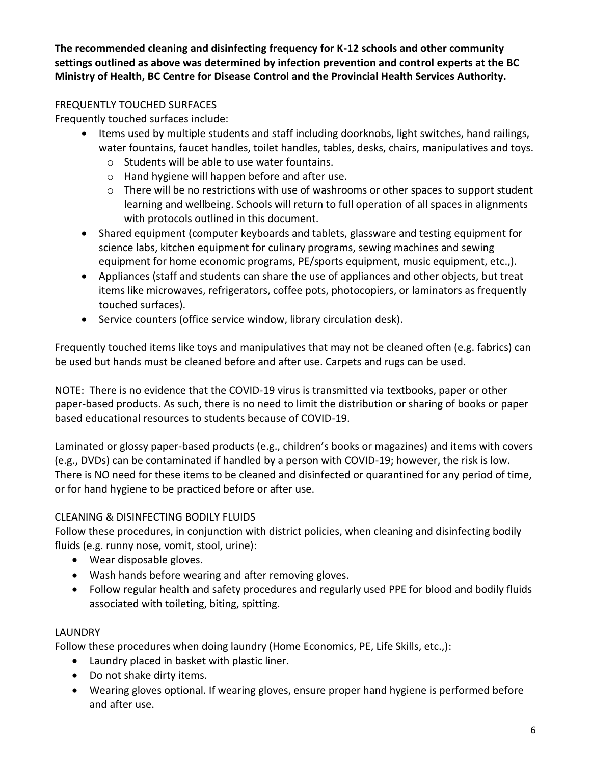**The recommended cleaning and disinfecting frequency for K-12 schools and other community settings outlined as above was determined by infection prevention and control experts at the BC Ministry of Health, BC Centre for Disease Control and the Provincial Health Services Authority.**

# FREQUENTLY TOUCHED SURFACES

Frequently touched surfaces include:

- Items used by multiple students and staff including doorknobs, light switches, hand railings, water fountains, faucet handles, toilet handles, tables, desks, chairs, manipulatives and toys.
	- o Students will be able to use water fountains.
	- o Hand hygiene will happen before and after use.
	- o There will be no restrictions with use of washrooms or other spaces to support student learning and wellbeing. Schools will return to full operation of all spaces in alignments with protocols outlined in this document.
- Shared equipment (computer keyboards and tablets, glassware and testing equipment for science labs, kitchen equipment for culinary programs, sewing machines and sewing equipment for home economic programs, PE/sports equipment, music equipment, etc.,).
- Appliances (staff and students can share the use of appliances and other objects, but treat items like microwaves, refrigerators, coffee pots, photocopiers, or laminators as frequently touched surfaces).
- Service counters (office service window, library circulation desk).

Frequently touched items like toys and manipulatives that may not be cleaned often (e.g. fabrics) can be used but hands must be cleaned before and after use. Carpets and rugs can be used.

NOTE: There is no evidence that the COVID-19 virus is transmitted via textbooks, paper or other paper-based products. As such, there is no need to limit the distribution or sharing of books or paper based educational resources to students because of COVID-19.

Laminated or glossy paper-based products (e.g., children's books or magazines) and items with covers (e.g., DVDs) can be contaminated if handled by a person with COVID-19; however, the risk is low. There is NO need for these items to be cleaned and disinfected or quarantined for any period of time, or for hand hygiene to be practiced before or after use.

# CLEANING & DISINFECTING BODILY FLUIDS

Follow these procedures, in conjunction with district policies, when cleaning and disinfecting bodily fluids (e.g. runny nose, vomit, stool, urine):

- Wear disposable gloves.
- Wash hands before wearing and after removing gloves.
- Follow regular health and safety procedures and regularly used PPE for blood and bodily fluids associated with toileting, biting, spitting.

#### **LAUNDRY**

Follow these procedures when doing laundry (Home Economics, PE, Life Skills, etc.,):

- Laundry placed in basket with plastic liner.
- Do not shake dirty items.
- Wearing gloves optional. If wearing gloves, ensure proper hand hygiene is performed before and after use.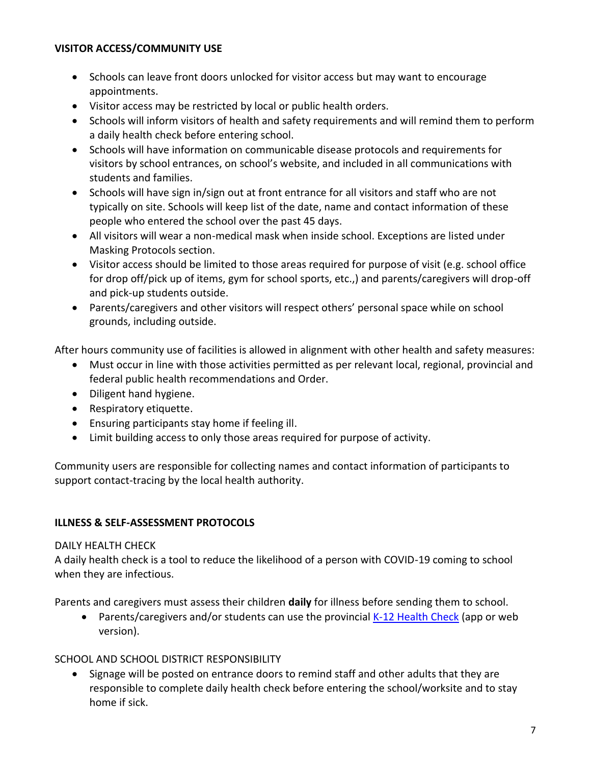#### **VISITOR ACCESS/COMMUNITY USE**

- Schools can leave front doors unlocked for visitor access but may want to encourage appointments.
- Visitor access may be restricted by local or public health orders.
- Schools will inform visitors of health and safety requirements and will remind them to perform a daily health check before entering school.
- Schools will have information on communicable disease protocols and requirements for visitors by school entrances, on school's website, and included in all communications with students and families.
- Schools will have sign in/sign out at front entrance for all visitors and staff who are not typically on site. Schools will keep list of the date, name and contact information of these people who entered the school over the past 45 days.
- All visitors will wear a non-medical mask when inside school. Exceptions are listed under Masking Protocols section.
- Visitor access should be limited to those areas required for purpose of visit (e.g. school office for drop off/pick up of items, gym for school sports, etc.,) and parents/caregivers will drop-off and pick-up students outside.
- Parents/caregivers and other visitors will respect others' personal space while on school grounds, including outside.

After hours community use of facilities is allowed in alignment with other health and safety measures:

- Must occur in line with those activities permitted as per relevant local, regional, provincial and federal public health recommendations and Order.
- Diligent hand hygiene.
- Respiratory etiquette.
- Ensuring participants stay home if feeling ill.
- Limit building access to only those areas required for purpose of activity.

Community users are responsible for collecting names and contact information of participants to support contact-tracing by the local health authority.

#### **ILLNESS & SELF-ASSESSMENT PROTOCOLS**

#### DAILY HEALTH CHECK

A daily health check is a tool to reduce the likelihood of a person with COVID-19 coming to school when they are infectious.

Parents and caregivers must assess their children **daily** for illness before sending them to school.

• Parents/caregivers and/or students can use the provincial [K-12 Health Check](https://www.k12dailycheck.gov.bc.ca/healthcheck?execution=e1s1) (app or web version).

#### SCHOOL AND SCHOOL DISTRICT RESPONSIBILITY

• Signage will be posted on entrance doors to remind staff and other adults that they are responsible to complete daily health check before entering the school/worksite and to stay home if sick.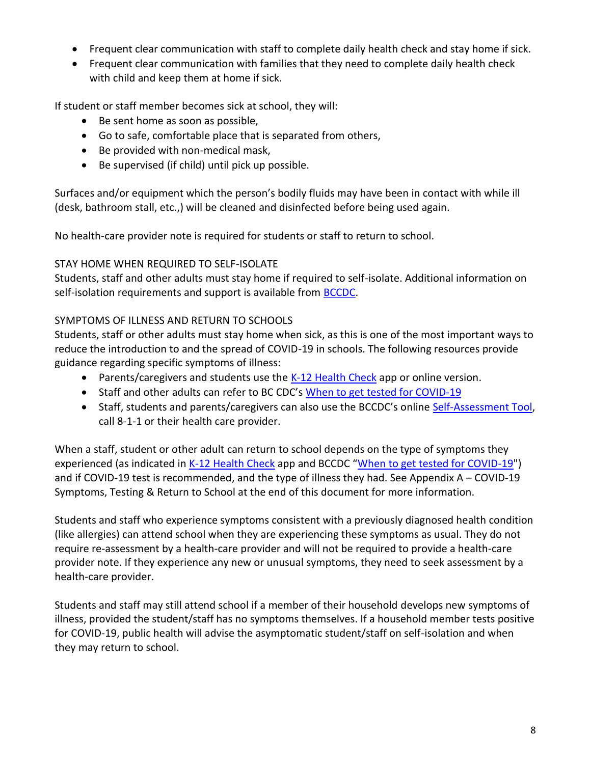- Frequent clear communication with staff to complete daily health check and stay home if sick.
- Frequent clear communication with families that they need to complete daily health check with child and keep them at home if sick.

If student or staff member becomes sick at school, they will:

- Be sent home as soon as possible,
- Go to safe, comfortable place that is separated from others,
- Be provided with non-medical mask,
- Be supervised (if child) until pick up possible.

Surfaces and/or equipment which the person's bodily fluids may have been in contact with while ill (desk, bathroom stall, etc.,) will be cleaned and disinfected before being used again.

No health-care provider note is required for students or staff to return to school.

#### STAY HOME WHEN REQUIRED TO SELF-ISOLATE

Students, staff and other adults must stay home if required to self-isolate. Additional information on self-isolation requirements and support is available from [BCCDC.](http://www.bccdc.ca/health-info/diseases-conditions/covid-19/self-isolation)

#### SYMPTOMS OF ILLNESS AND RETURN TO SCHOOLS

Students, staff or other adults must stay home when sick, as this is one of the most important ways to reduce the introduction to and the spread of COVID-19 in schools. The following resources provide guidance regarding specific symptoms of illness:

- Parents/caregivers and students use the [K-12 Health Check](https://www.k12dailycheck.gov.bc.ca/healthcheck?execution=e1s1) app or online version.
- Staff and other adults can refer to BC CDC's [When to get tested for COVID-19](http://www.bccdc.ca/Health-Info-Site/Documents/COVID_public_guidance/When_to_get_tested.pdf)
- Staff, students and parents/caregivers can also use the BCCDC's online [Self-Assessment Tool,](https://bc.thrive.health/covid19/en) call 8-1-1 or their health care provider.

When a staff, student or other adult can return to school depends on the type of symptoms they experienced (as indicated in [K-12 Health Check](https://www.k12dailycheck.gov.bc.ca/healthcheck?execution=e1s1) app and BCCDC "[When to get tested for COVID-19"](http://www.bccdc.ca/Health-Info-Site/Documents/COVID_public_guidance/When_to_get_tested.pdf)) and if COVID-19 test is recommended, and the type of illness they had. See Appendix A – COVID-19 Symptoms, Testing & Return to School at the end of this document for more information.

Students and staff who experience symptoms consistent with a previously diagnosed health condition (like allergies) can attend school when they are experiencing these symptoms as usual. They do not require re-assessment by a health-care provider and will not be required to provide a health-care provider note. If they experience any new or unusual symptoms, they need to seek assessment by a health-care provider.

Students and staff may still attend school if a member of their household develops new symptoms of illness, provided the student/staff has no symptoms themselves. If a household member tests positive for COVID-19, public health will advise the asymptomatic student/staff on self-isolation and when they may return to school.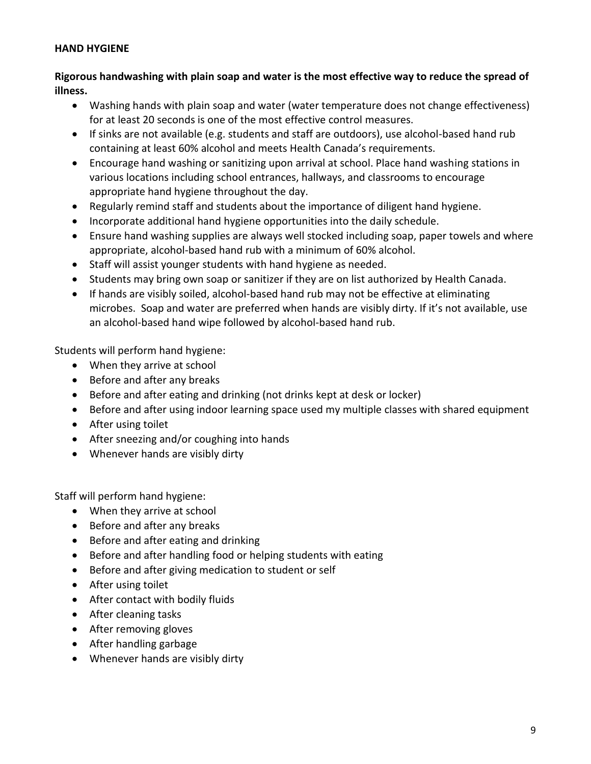#### **HAND HYGIENE**

**Rigorous handwashing with plain soap and water is the most effective way to reduce the spread of illness.**

- Washing hands with plain soap and water (water temperature does not change effectiveness) for at least 20 seconds is one of the most effective control measures.
- If sinks are not available (e.g. students and staff are outdoors), use alcohol-based hand rub containing at least 60% alcohol and meets Health Canada's requirements.
- Encourage hand washing or sanitizing upon arrival at school. Place hand washing stations in various locations including school entrances, hallways, and classrooms to encourage appropriate hand hygiene throughout the day.
- Regularly remind staff and students about the importance of diligent hand hygiene.
- Incorporate additional hand hygiene opportunities into the daily schedule.
- Ensure hand washing supplies are always well stocked including soap, paper towels and where appropriate, alcohol-based hand rub with a minimum of 60% alcohol.
- Staff will assist younger students with hand hygiene as needed.
- Students may bring own soap or sanitizer if they are on list authorized by Health Canada.
- If hands are visibly soiled, alcohol-based hand rub may not be effective at eliminating microbes. Soap and water are preferred when hands are visibly dirty. If it's not available, use an alcohol-based hand wipe followed by alcohol-based hand rub.

Students will perform hand hygiene:

- When they arrive at school
- Before and after any breaks
- Before and after eating and drinking (not drinks kept at desk or locker)
- Before and after using indoor learning space used my multiple classes with shared equipment
- After using toilet
- After sneezing and/or coughing into hands
- Whenever hands are visibly dirty

Staff will perform hand hygiene:

- When they arrive at school
- Before and after any breaks
- Before and after eating and drinking
- Before and after handling food or helping students with eating
- Before and after giving medication to student or self
- After using toilet
- After contact with bodily fluids
- After cleaning tasks
- After removing gloves
- After handling garbage
- Whenever hands are visibly dirty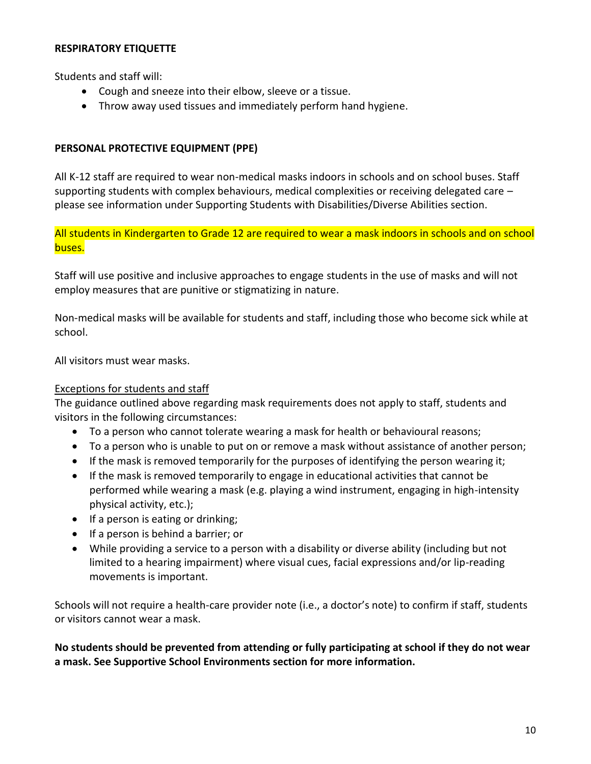#### **RESPIRATORY ETIQUETTE**

Students and staff will:

- Cough and sneeze into their elbow, sleeve or a tissue.
- Throw away used tissues and immediately perform hand hygiene.

#### **PERSONAL PROTECTIVE EQUIPMENT (PPE)**

All K-12 staff are required to wear non-medical masks indoors in schools and on school buses. Staff supporting students with complex behaviours, medical complexities or receiving delegated care – please see information under Supporting Students with Disabilities/Diverse Abilities section.

All students in Kindergarten to Grade 12 are required to wear a mask indoors in schools and on school buses.

Staff will use positive and inclusive approaches to engage students in the use of masks and will not employ measures that are punitive or stigmatizing in nature.

Non-medical masks will be available for students and staff, including those who become sick while at school.

All visitors must wear masks.

#### Exceptions for students and staff

The guidance outlined above regarding mask requirements does not apply to staff, students and visitors in the following circumstances:

- To a person who cannot tolerate wearing a mask for health or behavioural reasons;
- To a person who is unable to put on or remove a mask without assistance of another person;
- If the mask is removed temporarily for the purposes of identifying the person wearing it;
- If the mask is removed temporarily to engage in educational activities that cannot be performed while wearing a mask (e.g. playing a wind instrument, engaging in high-intensity physical activity, etc.);
- If a person is eating or drinking;
- If a person is behind a barrier; or
- While providing a service to a person with a disability or diverse ability (including but not limited to a hearing impairment) where visual cues, facial expressions and/or lip-reading movements is important.

Schools will not require a health-care provider note (i.e., a doctor's note) to confirm if staff, students or visitors cannot wear a mask.

**No students should be prevented from attending or fully participating at school if they do not wear a mask. See Supportive School Environments section for more information.**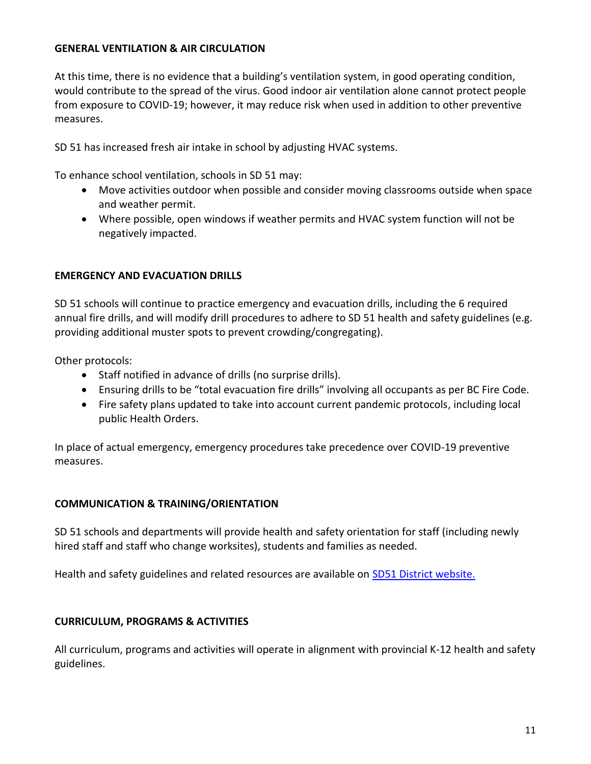#### **GENERAL VENTILATION & AIR CIRCULATION**

At this time, there is no evidence that a building's ventilation system, in good operating condition, would contribute to the spread of the virus. Good indoor air ventilation alone cannot protect people from exposure to COVID-19; however, it may reduce risk when used in addition to other preventive measures.

SD 51 has increased fresh air intake in school by adjusting HVAC systems.

To enhance school ventilation, schools in SD 51 may:

- Move activities outdoor when possible and consider moving classrooms outside when space and weather permit.
- Where possible, open windows if weather permits and HVAC system function will not be negatively impacted.

#### **EMERGENCY AND EVACUATION DRILLS**

SD 51 schools will continue to practice emergency and evacuation drills, including the 6 required annual fire drills, and will modify drill procedures to adhere to SD 51 health and safety guidelines (e.g. providing additional muster spots to prevent crowding/congregating).

Other protocols:

- Staff notified in advance of drills (no surprise drills).
- Ensuring drills to be "total evacuation fire drills" involving all occupants as per BC Fire Code.
- Fire safety plans updated to take into account current pandemic protocols, including local public Health Orders.

In place of actual emergency, emergency procedures take precedence over COVID-19 preventive measures.

#### **COMMUNICATION & TRAINING/ORIENTATION**

SD 51 schools and departments will provide health and safety orientation for staff (including newly hired staff and staff who change worksites), students and families as needed.

Health and safety guidelines and related resources are available on [SD51 District website.](https://www.sd51.bc.ca/)

#### **CURRICULUM, PROGRAMS & ACTIVITIES**

All curriculum, programs and activities will operate in alignment with provincial K-12 health and safety guidelines.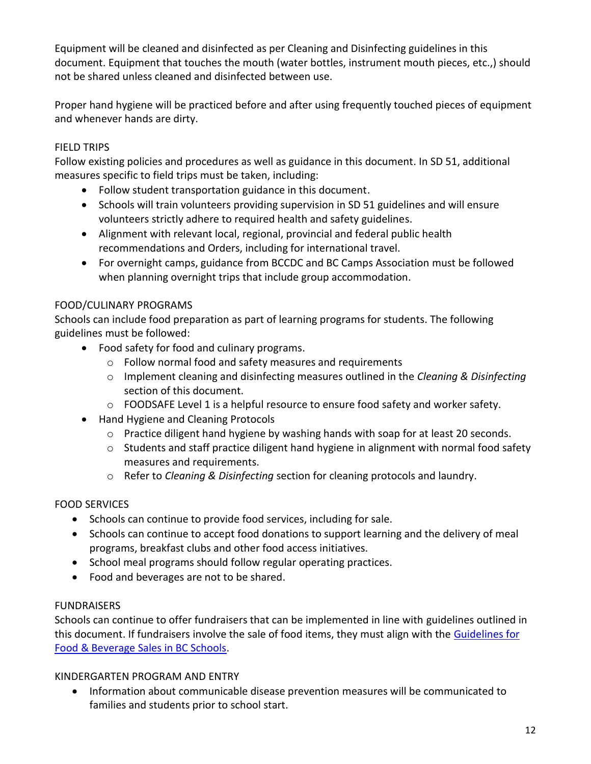Equipment will be cleaned and disinfected as per Cleaning and Disinfecting guidelines in this document. Equipment that touches the mouth (water bottles, instrument mouth pieces, etc.,) should not be shared unless cleaned and disinfected between use.

Proper hand hygiene will be practiced before and after using frequently touched pieces of equipment and whenever hands are dirty.

# FIELD TRIPS

Follow existing policies and procedures as well as guidance in this document. In SD 51, additional measures specific to field trips must be taken, including:

- Follow student transportation guidance in this document.
- Schools will train volunteers providing supervision in SD 51 guidelines and will ensure volunteers strictly adhere to required health and safety guidelines.
- Alignment with relevant local, regional, provincial and federal public health recommendations and Orders, including for international travel.
- For overnight camps, guidance from BCCDC and BC Camps Association must be followed when planning overnight trips that include group accommodation.

# FOOD/CULINARY PROGRAMS

Schools can include food preparation as part of learning programs for students. The following guidelines must be followed:

- Food safety for food and culinary programs.
	- o Follow normal food and safety measures and requirements
	- o Implement cleaning and disinfecting measures outlined in the *Cleaning & Disinfecting* section of this document.
	- o FOODSAFE Level 1 is a helpful resource to ensure food safety and worker safety.
- Hand Hygiene and Cleaning Protocols
	- o Practice diligent hand hygiene by washing hands with soap for at least 20 seconds.
	- $\circ$  Students and staff practice diligent hand hygiene in alignment with normal food safety measures and requirements.
	- o Refer to *Cleaning & Disinfecting* section for cleaning protocols and laundry.

# FOOD SERVICES

- Schools can continue to provide food services, including for sale.
- Schools can continue to accept food donations to support learning and the delivery of meal programs, breakfast clubs and other food access initiatives.
- School meal programs should follow regular operating practices.
- Food and beverages are not to be shared.

#### **FUNDRAISERS**

Schools can continue to offer fundraisers that can be implemented in line with guidelines outlined in this document. If fundraisers involve the sale of food items, they must align with the [Guidelines for](https://www2.gov.bc.ca/assets/gov/education/administration/kindergarten-to-grade-12/healthyschools/2015_food_guidelines.pdf)  [Food & Beverage Sales in BC Schools.](https://www2.gov.bc.ca/assets/gov/education/administration/kindergarten-to-grade-12/healthyschools/2015_food_guidelines.pdf)

#### KINDERGARTEN PROGRAM AND ENTRY

• Information about communicable disease prevention measures will be communicated to families and students prior to school start.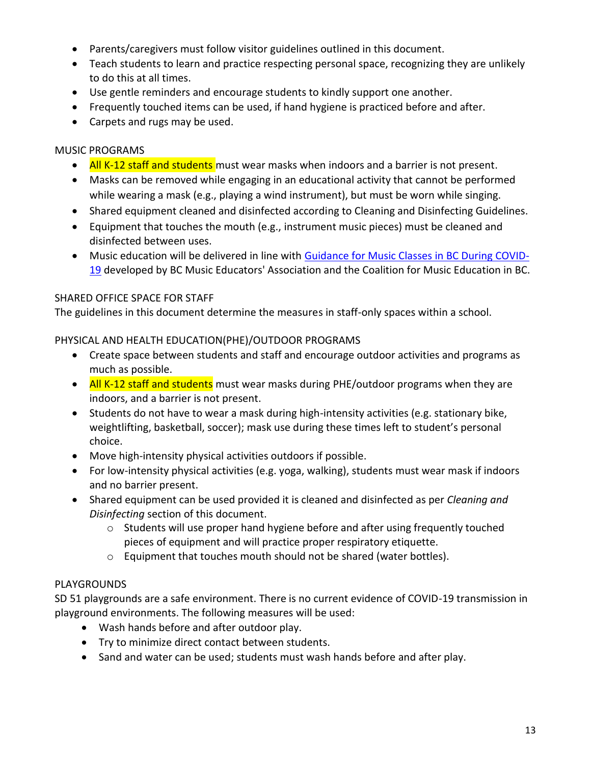- Parents/caregivers must follow visitor guidelines outlined in this document.
- Teach students to learn and practice respecting personal space, recognizing they are unlikely to do this at all times.
- Use gentle reminders and encourage students to kindly support one another.
- Frequently touched items can be used, if hand hygiene is practiced before and after.
- Carpets and rugs may be used.

#### MUSIC PROGRAMS

- All K-12 staff and students must wear masks when indoors and a barrier is not present.
- Masks can be removed while engaging in an educational activity that cannot be performed while wearing a mask (e.g., playing a wind instrument), but must be worn while singing.
- Shared equipment cleaned and disinfected according to Cleaning and Disinfecting Guidelines.
- Equipment that touches the mouth (e.g., instrument music pieces) must be cleaned and disinfected between uses.
- Music education will be delivered in line with [Guidance for Music Classes in BC During COVID-](https://drive.google.com/file/d/1KG2rE1rU-NENxbQsuYN20xnM9TBlNn3Z/view)[19](https://drive.google.com/file/d/1KG2rE1rU-NENxbQsuYN20xnM9TBlNn3Z/view) developed by BC Music Educators' Association and the Coalition for Music Education in BC.

#### SHARED OFFICE SPACE FOR STAFF

The guidelines in this document determine the measures in staff-only spaces within a school.

#### PHYSICAL AND HEALTH EDUCATION(PHE)/OUTDOOR PROGRAMS

- Create space between students and staff and encourage outdoor activities and programs as much as possible.
- All K-12 staff and students must wear masks during PHE/outdoor programs when they are indoors, and a barrier is not present.
- Students do not have to wear a mask during high-intensity activities (e.g. stationary bike, weightlifting, basketball, soccer); mask use during these times left to student's personal choice.
- Move high-intensity physical activities outdoors if possible.
- For low-intensity physical activities (e.g. yoga, walking), students must wear mask if indoors and no barrier present.
- Shared equipment can be used provided it is cleaned and disinfected as per *Cleaning and Disinfecting* section of this document.
	- o Students will use proper hand hygiene before and after using frequently touched pieces of equipment and will practice proper respiratory etiquette.
	- o Equipment that touches mouth should not be shared (water bottles).

#### PLAYGROUNDS

SD 51 playgrounds are a safe environment. There is no current evidence of COVID-19 transmission in playground environments. The following measures will be used:

- Wash hands before and after outdoor play.
- Try to minimize direct contact between students.
- Sand and water can be used; students must wash hands before and after play.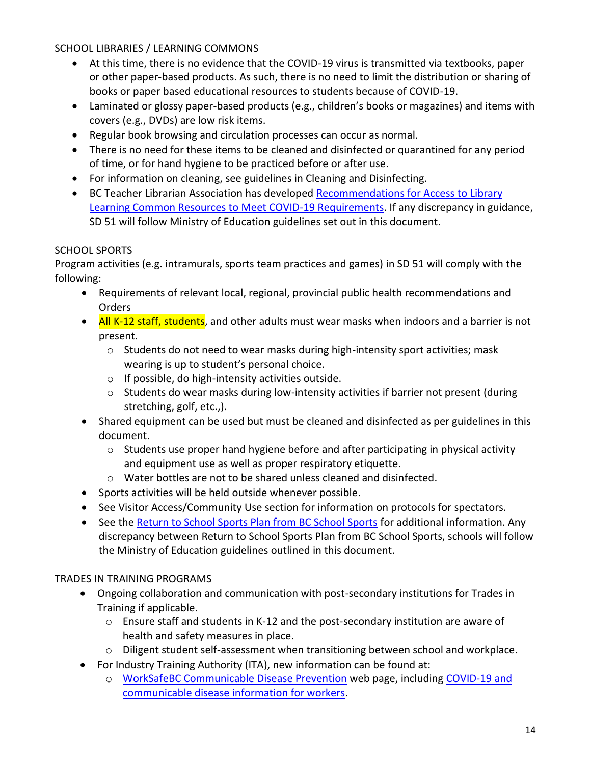# SCHOOL LIBRARIES / LEARNING COMMONS

- At this time, there is no evidence that the COVID-19 virus is transmitted via textbooks, paper or other paper-based products. As such, there is no need to limit the distribution or sharing of books or paper based educational resources to students because of COVID-19.
- Laminated or glossy paper-based products (e.g., children's books or magazines) and items with covers (e.g., DVDs) are low risk items.
- Regular book browsing and circulation processes can occur as normal.
- There is no need for these items to be cleaned and disinfected or quarantined for any period of time, or for hand hygiene to be practiced before or after use.
- For information on cleaning, see guidelines in Cleaning and Disinfecting.
- BC Teacher Librarian Association has developed [Recommendations for Access to Library](https://bctla.ca/wp-content/uploads/2020/05/BCTLA-Covid-LLC-Reopening-Recommendations.pdf)  [Learning Common Resources to Meet COVID-19 Requirements.](https://bctla.ca/wp-content/uploads/2020/05/BCTLA-Covid-LLC-Reopening-Recommendations.pdf) If any discrepancy in guidance, SD 51 will follow Ministry of Education guidelines set out in this document.

#### SCHOOL SPORTS

Program activities (e.g. intramurals, sports team practices and games) in SD 51 will comply with the following:

- Requirements of relevant local, regional, provincial public health recommendations and Orders
- All K-12 staff, students, and other adults must wear masks when indoors and a barrier is not present.
	- o Students do not need to wear masks during high-intensity sport activities; mask wearing is up to student's personal choice.
	- o If possible, do high-intensity activities outside.
	- o Students do wear masks during low-intensity activities if barrier not present (during stretching, golf, etc.,).
- Shared equipment can be used but must be cleaned and disinfected as per guidelines in this document.
	- $\circ$  Students use proper hand hygiene before and after participating in physical activity and equipment use as well as proper respiratory etiquette.
	- o Water bottles are not to be shared unless cleaned and disinfected.
- Sports activities will be held outside whenever possible.
- See Visitor Access/Community Use section for information on protocols for spectators.
- See the [Return to School Sports Plan from BC School Sports](https://www.bcschoolsports.ca/sites/default/files/BCSS%20Return%20to%20School%20Sport%20Plan%20v2%20-%20Sept%2023%202020.pdf) for additional information. Any discrepancy between Return to School Sports Plan from BC School Sports, schools will follow the Ministry of Education guidelines outlined in this document.

#### TRADES IN TRAINING PROGRAMS

- Ongoing collaboration and communication with post-secondary institutions for Trades in Training if applicable.
	- $\circ$  Ensure staff and students in K-12 and the post-secondary institution are aware of health and safety measures in place.
	- o Diligent student self-assessment when transitioning between school and workplace.
- For Industry Training Authority (ITA), new information can be found at:
	- o [WorkSafeBC Communicable Disease Prevention](https://www.worksafebc.com/en/covid-19/bcs-four-step-restart) web page, including [COVID-19 and](https://www.worksafebc.com/en/covid-19/covid-19-information-for-workers)  [communicable disease information for workers.](https://www.worksafebc.com/en/covid-19/covid-19-information-for-workers)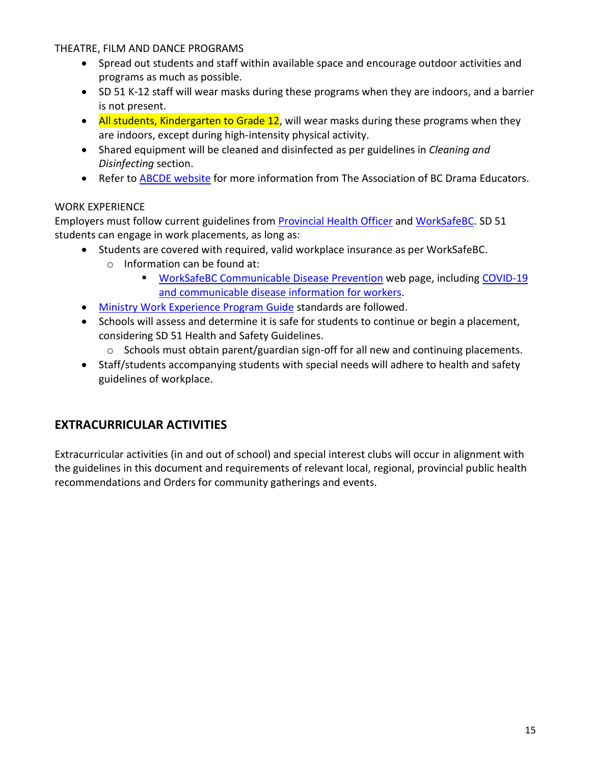#### THEATRE, FILM AND DANCE PROGRAMS

- Spread out students and staff within available space and encourage outdoor activities and programs as much as possible.
- SD 51 K-12 staff will wear masks during these programs when they are indoors, and a barrier is not present.
- All students, Kindergarten to Grade 12, will wear masks during these programs when they are indoors, except during high-intensity physical activity.
- Shared equipment will be cleaned and disinfected as per guidelines in *Cleaning and Disinfecting* section.
- Refer to [ABCDE website](http://www.bcdramateachers.com/) for more information from The Association of BC Drama Educators.

# WORK EXPERIENCE

Employers must follow current guidelines from [Provincial Health Officer](https://www2.gov.bc.ca/gov/content/health/about-bc-s-health-care-system/office-of-the-provincial-health-officer/current-health-topics/covid-19-novel-coronavirus) an[d WorkSafeBC.](https://www.worksafebc.com/en/about-us/covid-19-updates) SD 51 students can engage in work placements, as long as:

- Students are covered with required, valid workplace insurance as per WorkSafeBC.
	- o Information can be found at:
		- [WorkSafeBC Communicable Disease Prevention](https://www.worksafebc.com/en/covid-19/bcs-four-step-restart) web page, including [COVID-19](https://www.worksafebc.com/en/covid-19/covid-19-information-for-workers)  [and communicable disease information for workers.](https://www.worksafebc.com/en/covid-19/covid-19-information-for-workers)
- [Ministry Work Experience Program Guide](https://www2.gov.bc.ca/assets/gov/education/kindergarten-to-grade-12/teach/pdfs/curriculum/appliedskills/wex-guide.pdf) standards are followed.
- Schools will assess and determine it is safe for students to continue or begin a placement, considering SD 51 Health and Safety Guidelines.
	- o Schools must obtain parent/guardian sign-off for all new and continuing placements.
- Staff/students accompanying students with special needs will adhere to health and safety guidelines of workplace.

# **EXTRACURRICULAR ACTIVITIES**

Extracurricular activities (in and out of school) and special interest clubs will occur in alignment with the guidelines in this document and requirements of relevant local, regional, provincial public health recommendations and Orders for community gatherings and events.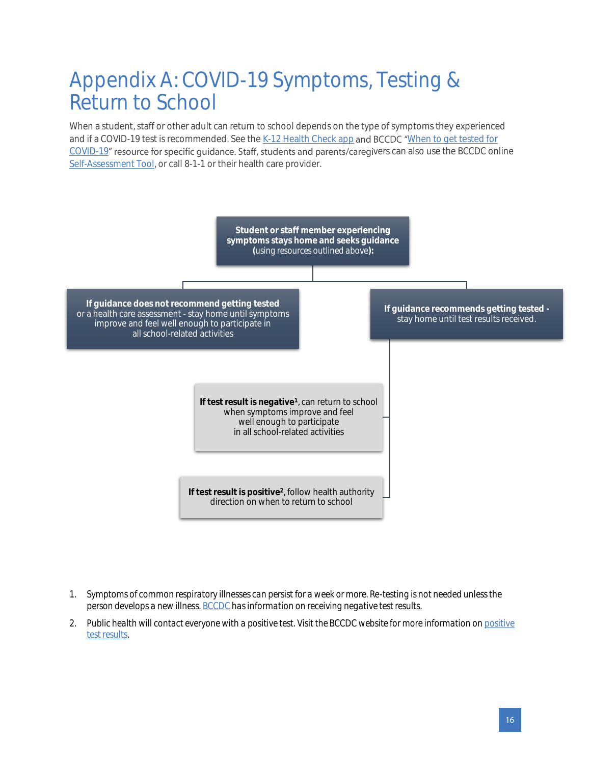# Appendix A: COVID-19 Symptoms, Testing & Return to School

When a student, staff or other adult can return to school depends on the type of symptoms they experienced and if a COVID-19 test is recommended. See th[e K-12 Health Check app](https://www.k12dailycheck.gov.bc.ca/) and BCCDC "When to get tested for [COVID-19](http://www.bccdc.ca/Health-Info-Site/Documents/COVID_public_guidance/When_to_get_tested.pdf)" resource for specific guidance. Staff, students and parents/caregivers can also use the BCCDC online [Self-Assessment Tool,](https://bc.thrive.health/) or call 8-1-1 or their health care provider.



- *1. Symptoms of common respiratory illnesses can persist for a week or more. Re-testing is not needed unless the person develops a new illness[. BCCDC](http://www.bccdc.ca/health-info/diseases-conditions/covid-19/testing/understanding-test-results) has information on receiving negative test results.*
- *2. Public health will contact everyone with a positive test. Visit the BCCDC website for more information o[n positive](http://www.bccdc.ca/health-info/diseases-conditions/covid-19/testing/understanding-test-results) [test results.](http://www.bccdc.ca/health-info/diseases-conditions/covid-19/testing/understanding-test-results)*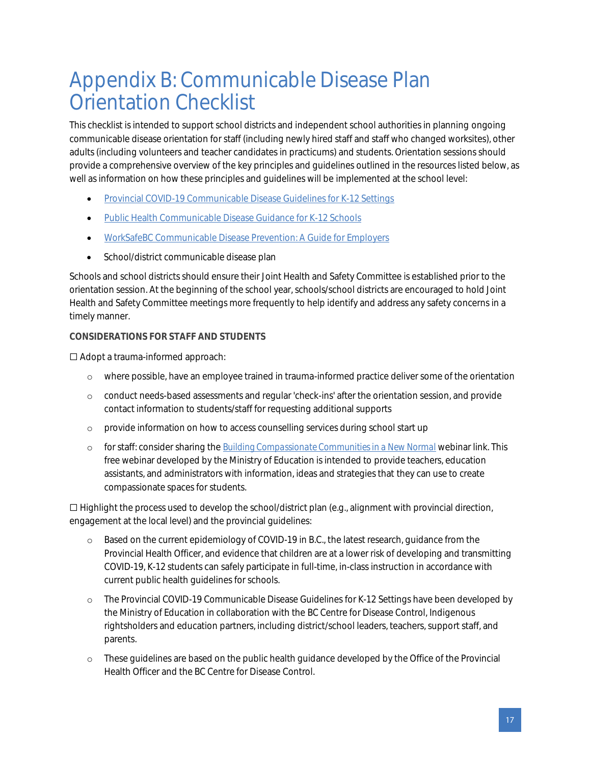# Appendix B: Communicable Disease Plan Orientation Checklist

This checklist is intended to support school districts and independent school authorities in planning ongoing communicable disease orientation for staff (including newly hired staff and staff who changed worksites), other adults (including volunteers and teacher candidates in practicums) and students. Orientation sessions should provide a comprehensive overview of the key principles and guidelines outlined in the resources listed below, as well as information on how these principles and guidelines will be implemented at the school level:

- Provincial COVID-19 [Communicable Disease Guidelines for K-12 Settings](https://www2.gov.bc.ca/assets/gov/education/administration/kindergarten-to-grade-12/safe-caring-orderly/k-12-covid-19-health-safety-guidlines.pdf)
- **[Public Health Communicable Disease Guidance for K-12 Schools](http://www.bccdc.ca/Health-Info-Site/Documents/COVID_public_guidance/Guidance-k-12-schools.pdf)**
- [WorkSafeBC Communicable Disease Prevention: A Guide for Employers](https://www.worksafebc.com/en/resources/health-safety/books-guides/communicable-disease-prevention-guide-employers)
- School/district communicable disease plan

Schools and school districts should ensure their Joint Health and Safety Committee is established prior to the orientation session. At the beginning of the school year, schools/school districts are encouraged to hold Joint Health and Safety Committee meetings more frequently to help identify and address any safety concerns in a timely manner.

#### **CONSIDERATIONS FOR STAFF AND STUDENTS**

☐ Adopt a trauma-informed approach:

- o where possible, have an employee trained in trauma-informed practice deliver some of the orientation
- o conduct needs-based assessments and regular 'check-ins' after the orientation session, and provide contact information to students/staff for requesting additional supports
- o provide information on how to access counselling services during school start up
- o for staff: consider sharing the *[Building Compassionate Communities in a New Normal](https://www.openschool.bc.ca/webinars)* webinar link. This free webinar developed by the Ministry of Education is intended to provide teachers, education assistants, and administrators with information, ideas and strategies that they can use to create compassionate spaces for students.

☐ Highlight the process used to develop the school/district plan (e.g., alignment with provincial direction, engagement at the local level) and the provincial guidelines:

- o Based on the current epidemiology of COVID-19 in B.C., the latest research, guidance from the Provincial Health Officer, and evidence that children are at a lower risk of developing and transmitting COVID-19, K-12 students can safely participate in full-time, in-class instruction in accordance with current public health guidelines for schools.
- o The Provincial COVID-19 Communicable Disease Guidelines for K-12 Settings have been developed by the Ministry of Education in collaboration with the BC Centre for Disease Control, Indigenous rightsholders and education partners, including district/school leaders, teachers, support staff, and parents.
- o These guidelines are based on the public health guidance developed by the Office of the Provincial Health Officer and the BC Centre for Disease Control.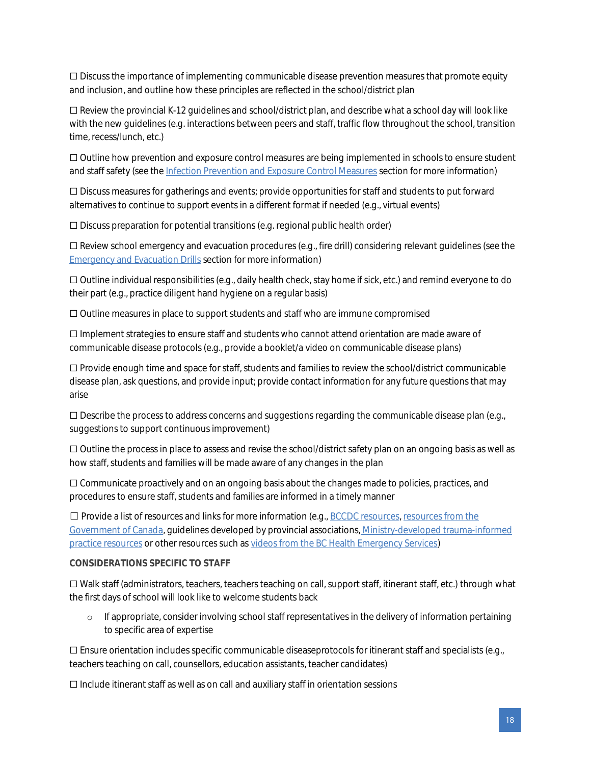☐ Discuss the importance of implementing communicable disease prevention measures that promote equity and inclusion, and outline how these principles are reflected in the school/district plan

☐ Review the provincial K-12 guidelines and school/district plan, and describe what a school day will look like with the new guidelines (e.g. interactions between peers and staff, traffic flow throughout the school, transition time, recess/lunch, etc.)

☐ Outline how prevention and exposure control measures are being implemented in schools to ensure student and staff safety (see the Infection Prevention and Exposure Control Measures section for more information)

☐ Discuss measures for gatherings and events; provide opportunities for staff and students to put forward alternatives to continue to support events in a different format if needed (e.g., virtual events)

 $\Box$  Discuss preparation for potential transitions (e.g. regional public health order)

☐ Review school emergency and evacuation procedures (e.g., fire drill) considering relevant guidelines (see the Emergency and Evacuation Drills section for more information)

☐ Outline individual responsibilities (e.g., daily health check, stay home if sick, etc.) and remind everyone to do their part (e.g., practice diligent hand hygiene on a regular basis)

☐ Outline measures in place to support students and staff who are immune compromised

☐ Implement strategies to ensure staff and students who cannot attend orientation are made aware of communicable disease protocols (e.g., provide a booklet/a video on communicable disease plans)

☐ Provide enough time and space for staff, students and families to review the school/district communicable disease plan, ask questions, and provide input; provide contact information for any future questions that may arise

 $\Box$  Describe the process to address concerns and suggestions regarding the communicable disease plan (e.g., suggestions to support continuous improvement)

☐ Outline the process in place to assess and revise the school/district safety plan on an ongoing basis as well as how staff, students and families will be made aware of any changes in the plan

☐ Communicate proactively and on an ongoing basis about the changes made to policies, practices, and procedures to ensure staff, students and families are informed in a timely manner

☐ Provide a list of resources and links for more information (e.g., [BCCDC resources,](http://www.bccdc.ca/schools) [resources from the](https://www.canada.ca/en/public-health/services/diseases/2019-novel-coronavirus-infection/awareness-resources.html) [Government of Canada,](https://www.canada.ca/en/public-health/services/diseases/2019-novel-coronavirus-infection/awareness-resources.html) guidelines developed by provincial associations, [Ministry-developed trauma-informed](https://mytrainingbc.ca/traumainformedpractice/) [practice resources](https://mytrainingbc.ca/traumainformedpractice/) or other resources such as [videos from the BC Health Emergency Services\)](https://www.youtube.com/channel/UCB3gsij7i8NvQxnBEVsiVFQ/videos)

#### **CONSIDERATIONS SPECIFIC TO STAFF**

☐ Walk staff (administrators, teachers, teachers teaching on call, support staff, itinerant staff, etc.) through what the first days of school will look like to welcome students back

o If appropriate, consider involving school staff representatives in the delivery of information pertaining to specific area of expertise

☐ Ensure orientation includes specific communicable diseaseprotocols for itinerant staff and specialists (e.g., teachers teaching on call, counsellors, education assistants, teacher candidates)

☐ Include itinerant staff as well as on call and auxiliary staff in orientation sessions